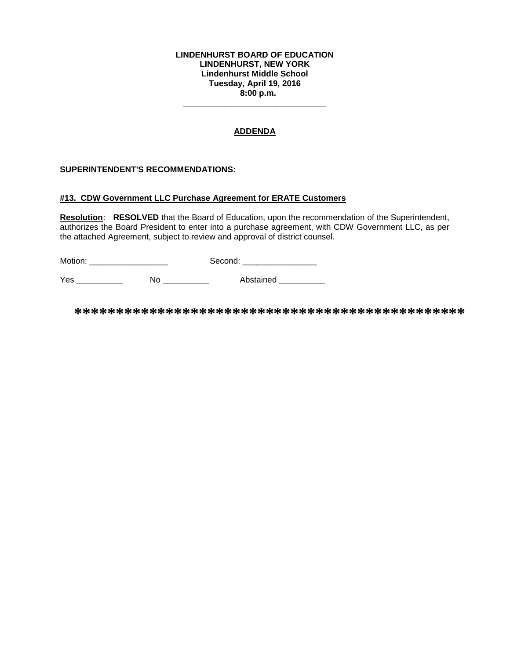#### **LINDENHURST BOARD OF EDUCATION LINDENHURST, NEW YORK Lindenhurst Middle School Tuesday, April 19, 2016 8:00 p.m.**

## **ADDENDA**

**\_\_\_\_\_\_\_\_\_\_\_\_\_\_\_\_\_\_\_\_\_\_\_\_\_\_\_\_\_\_\_**

### **SUPERINTENDENT'S RECOMMENDATIONS:**

#### **#13. CDW Government LLC Purchase Agreement for ERATE Customers**

**Resolution: RESOLVED** that the Board of Education, upon the recommendation of the Superintendent, authorizes the Board President to enter into a purchase agreement, with CDW Government LLC, as per the attached Agreement, subject to review and approval of district counsel.

Motion: \_\_\_\_\_\_\_\_\_\_\_\_\_\_\_\_\_ Second: \_\_\_\_\_\_\_\_\_\_\_\_\_\_\_\_

Yes \_\_\_\_\_\_\_\_\_\_ No \_\_\_\_\_\_\_\_\_\_ Abstained \_\_\_\_\_\_\_\_\_\_

**\*\*\*\*\*\*\*\*\*\*\*\*\*\*\*\*\*\*\*\*\*\*\*\*\*\*\*\*\*\*\*\*\*\*\*\*\*\*\*\*\*\*\*\*\*\*\***